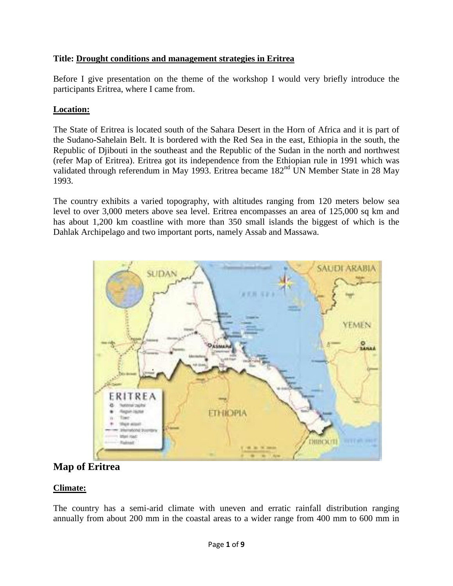### **Title: Drought conditions and management strategies in Eritrea**

Before I give presentation on the theme of the workshop I would very briefly introduce the participants Eritrea, where I came from.

### **Location:**

The State of Eritrea is located south of the Sahara Desert in the Horn of Africa and it is part of the Sudano-Sahelain Belt. It is bordered with the Red Sea in the east, Ethiopia in the south, the Republic of Djibouti in the southeast and the Republic of the Sudan in the north and northwest (refer Map of Eritrea). Eritrea got its independence from the Ethiopian rule in 1991 which was validated through referendum in May 1993. Eritrea became 182<sup>nd</sup> UN Member State in 28 May 1993.

The country exhibits a varied topography, with altitudes ranging from 120 meters below sea level to over 3,000 meters above sea level. Eritrea encompasses an area of 125,000 sq km and has about 1,200 km coastline with more than 350 small islands the biggest of which is the Dahlak Archipelago and two important ports, namely Assab and Massawa.



# **Map of Eritrea**

## **Climate:**

The country has a semi-arid climate with uneven and erratic rainfall distribution ranging annually from about 200 mm in the coastal areas to a wider range from 400 mm to 600 mm in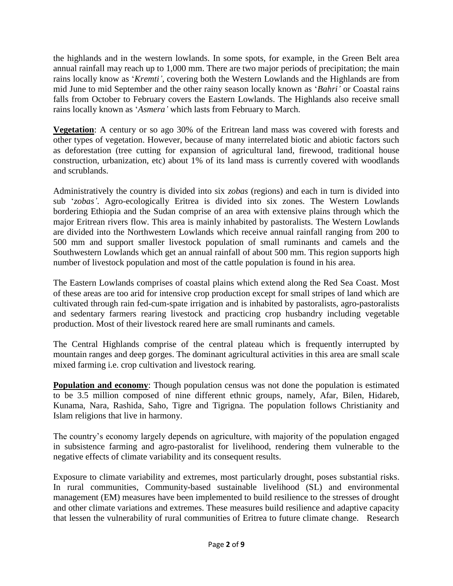the highlands and in the western lowlands. In some spots, for example, in the Green Belt area annual rainfall may reach up to 1,000 mm. There are two major periods of precipitation; the main rains locally know as '*Kremti',* covering both the Western Lowlands and the Highlands are from mid June to mid September and the other rainy season locally known as '*Bahri'* or Coastal rains falls from October to February covers the Eastern Lowlands. The Highlands also receive small rains locally known as '*Asmera'* which lasts from February to March.

**Vegetation**: A century or so ago 30% of the Eritrean land mass was covered with forests and other types of vegetation. However, because of many interrelated biotic and abiotic factors such as deforestation (tree cutting for expansion of agricultural land, firewood, traditional house construction, urbanization, etc) about 1% of its land mass is currently covered with woodlands and scrublands.

Administratively the country is divided into six *zobas* (regions) and each in turn is divided into sub '*zobas'*. Agro-ecologically Eritrea is divided into six zones. The Western Lowlands bordering Ethiopia and the Sudan comprise of an area with extensive plains through which the major Eritrean rivers flow. This area is mainly inhabited by pastoralists. The Western Lowlands are divided into the Northwestern Lowlands which receive annual rainfall ranging from 200 to 500 mm and support smaller livestock population of small ruminants and camels and the Southwestern Lowlands which get an annual rainfall of about 500 mm. This region supports high number of livestock population and most of the cattle population is found in his area.

The Eastern Lowlands comprises of coastal plains which extend along the Red Sea Coast. Most of these areas are too arid for intensive crop production except for small stripes of land which are cultivated through rain fed-cum-spate irrigation and is inhabited by pastoralists, agro-pastoralists and sedentary farmers rearing livestock and practicing crop husbandry including vegetable production. Most of their livestock reared here are small ruminants and camels.

The Central Highlands comprise of the central plateau which is frequently interrupted by mountain ranges and deep gorges. The dominant agricultural activities in this area are small scale mixed farming i.e. crop cultivation and livestock rearing.

**Population and economy**: Though population census was not done the population is estimated to be 3.5 million composed of nine different ethnic groups, namely, Afar, Bilen, Hidareb, Kunama, Nara, Rashida, Saho, Tigre and Tigrigna. The population follows Christianity and Islam religions that live in harmony.

The country's economy largely depends on agriculture, with majority of the population engaged in subsistence farming and agro-pastoralist for livelihood, rendering them vulnerable to the negative effects of climate variability and its consequent results.

Exposure to climate variability and extremes, most particularly drought, poses substantial risks. In rural communities, Community-based sustainable livelihood (SL) and environmental management (EM) measures have been implemented to build resilience to the stresses of drought and other climate variations and extremes. These measures build resilience and adaptive capacity that lessen the vulnerability of rural communities of Eritrea to future climate change. Research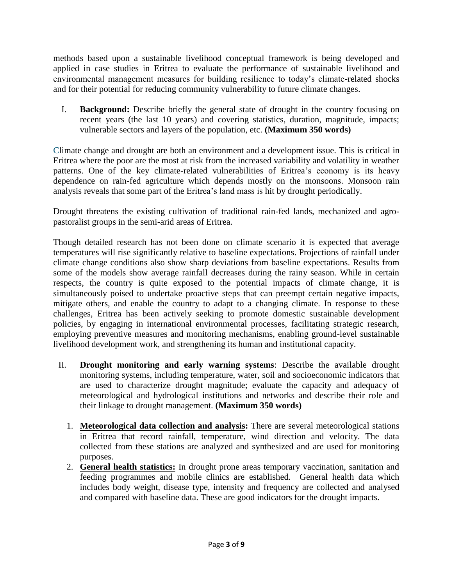methods based upon a sustainable livelihood conceptual framework is being developed and applied in case studies in Eritrea to evaluate the performance of sustainable livelihood and environmental management measures for building resilience to today's climate-related shocks and for their potential for reducing community vulnerability to future climate changes.

I. **Background:** Describe briefly the general state of drought in the country focusing on recent years (the last 10 years) and covering statistics, duration, magnitude, impacts; vulnerable sectors and layers of the population, etc. **(Maximum 350 words)**

Climate change and drought are both an environment and a development issue. This is critical in Eritrea where the poor are the most at risk from the increased variability and volatility in weather patterns. One of the key climate-related vulnerabilities of Eritrea's economy is its heavy dependence on rain-fed agriculture which depends mostly on the monsoons. Monsoon rain analysis reveals that some part of the Eritrea's land mass is hit by drought periodically.

Drought threatens the existing cultivation of traditional rain-fed lands, mechanized and agropastoralist groups in the semi-arid areas of Eritrea.

Though detailed research has not been done on climate scenario it is expected that average temperatures will rise significantly relative to baseline expectations. Projections of rainfall under climate change conditions also show sharp deviations from baseline expectations. Results from some of the models show average rainfall decreases during the rainy season. While in certain respects, the country is quite exposed to the potential impacts of climate change, it is simultaneously poised to undertake proactive steps that can preempt certain negative impacts, mitigate others, and enable the country to adapt to a changing climate. In response to these challenges, Eritrea has been actively seeking to promote domestic sustainable development policies, by engaging in international environmental processes, facilitating strategic research, employing preventive measures and monitoring mechanisms, enabling ground-level sustainable livelihood development work, and strengthening its human and institutional capacity.

- II. **Drought monitoring and early warning systems**: Describe the available drought monitoring systems, including temperature, water, soil and socioeconomic indicators that are used to characterize drought magnitude; evaluate the capacity and adequacy of meteorological and hydrological institutions and networks and describe their role and their linkage to drought management. **(Maximum 350 words)**
	- 1. **Meteorological data collection and analysis:** There are several meteorological stations in Eritrea that record rainfall, temperature, wind direction and velocity. The data collected from these stations are analyzed and synthesized and are used for monitoring purposes.
	- 2. **General health statistics:** In drought prone areas temporary vaccination, sanitation and feeding programmes and mobile clinics are established. General health data which includes body weight, disease type, intensity and frequency are collected and analysed and compared with baseline data. These are good indicators for the drought impacts.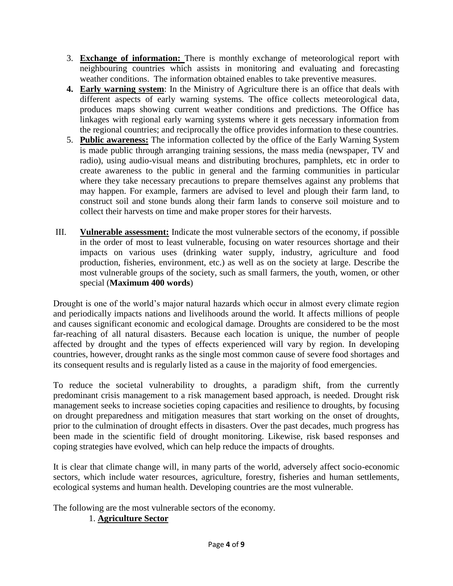- 3. **Exchange of information:** There is monthly exchange of meteorological report with neighbouring countries which assists in monitoring and evaluating and forecasting weather conditions. The information obtained enables to take preventive measures.
- **4. Early warning system**: In the Ministry of Agriculture there is an office that deals with different aspects of early warning systems. The office collects meteorological data, produces maps showing current weather conditions and predictions. The Office has linkages with regional early warning systems where it gets necessary information from the regional countries; and reciprocally the office provides information to these countries.
- 5. **Public awareness:** The information collected by the office of the Early Warning System is made public through arranging training sessions, the mass media (newspaper, TV and radio), using audio-visual means and distributing brochures, pamphlets, etc in order to create awareness to the public in general and the farming communities in particular where they take necessary precautions to prepare themselves against any problems that may happen. For example, farmers are advised to level and plough their farm land, to construct soil and stone bunds along their farm lands to conserve soil moisture and to collect their harvests on time and make proper stores for their harvests.
- III. **Vulnerable assessment:** Indicate the most vulnerable sectors of the economy, if possible in the order of most to least vulnerable, focusing on water resources shortage and their impacts on various uses (drinking water supply, industry, agriculture and food production, fisheries, environment, etc.) as well as on the society at large. Describe the most vulnerable groups of the society, such as small farmers, the youth, women, or other special (**Maximum 400 words**)

Drought is one of the world's major natural hazards which occur in almost every climate region and periodically impacts nations and livelihoods around the world. It affects millions of people and causes significant economic and ecological damage. Droughts are considered to be the most far-reaching of all natural disasters. Because each location is unique, the number of people affected by drought and the types of effects experienced will vary by region. In developing countries, however, drought ranks as the single most common cause of severe food shortages and its consequent results and is regularly listed as a cause in the majority of food emergencies.

To reduce the societal vulnerability to droughts, a paradigm shift, from the currently predominant crisis management to a risk management based approach, is needed. Drought risk management seeks to increase societies coping capacities and resilience to droughts, by focusing on drought preparedness and mitigation measures that start working on the onset of droughts, prior to the culmination of drought effects in disasters. Over the past decades, much progress has been made in the scientific field of drought monitoring. Likewise, risk based responses and coping strategies have evolved, which can help reduce the impacts of droughts.

It is clear that climate change will, in many parts of the world, adversely affect socio-economic sectors, which include water resources, agriculture, forestry, fisheries and human settlements, ecological systems and human health. Developing countries are the most vulnerable.

The following are the most vulnerable sectors of the economy.

## 1. **Agriculture Sector**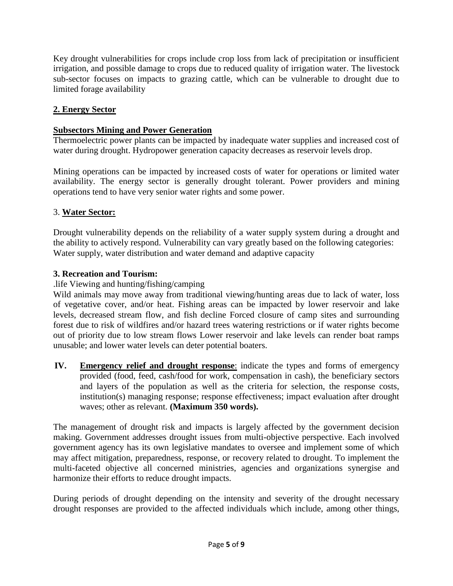Key drought vulnerabilities for crops include crop loss from lack of precipitation or insufficient irrigation, and possible damage to crops due to reduced quality of irrigation water. The livestock sub-sector focuses on impacts to grazing cattle, which can be vulnerable to drought due to limited forage availability

## **2. Energy Sector**

#### **Subsectors Mining and Power Generation**

Thermoelectric power plants can be impacted by inadequate water supplies and increased cost of water during drought. Hydropower generation capacity decreases as reservoir levels drop.

Mining operations can be impacted by increased costs of water for operations or limited water availability. The energy sector is generally drought tolerant. Power providers and mining operations tend to have very senior water rights and some power.

#### 3. **Water Sector:**

Drought vulnerability depends on the reliability of a water supply system during a drought and the ability to actively respond. Vulnerability can vary greatly based on the following categories: Water supply, water distribution and water demand and adaptive capacity

#### **3. Recreation and Tourism:**

.life Viewing and hunting/fishing/camping

Wild animals may move away from traditional viewing/hunting areas due to lack of water, loss of vegetative cover, and/or heat. Fishing areas can be impacted by lower reservoir and lake levels, decreased stream flow, and fish decline Forced closure of camp sites and surrounding forest due to risk of wildfires and/or hazard trees watering restrictions or if water rights become out of priority due to low stream flows Lower reservoir and lake levels can render boat ramps unusable; and lower water levels can deter potential boaters.

**IV. Emergency relief and drought response**: indicate the types and forms of emergency provided (food, feed, cash/food for work, compensation in cash), the beneficiary sectors and layers of the population as well as the criteria for selection, the response costs, institution(s) managing response; response effectiveness; impact evaluation after drought waves; other as relevant. **(Maximum 350 words).**

The management of drought risk and impacts is largely affected by the government decision making. Government addresses drought issues from multi-objective perspective. Each involved government agency has its own legislative mandates to oversee and implement some of which may affect mitigation, preparedness, response, or recovery related to drought. To implement the multi-faceted objective all concerned ministries, agencies and organizations synergise and harmonize their efforts to reduce drought impacts.

During periods of drought depending on the intensity and severity of the drought necessary drought responses are provided to the affected individuals which include, among other things,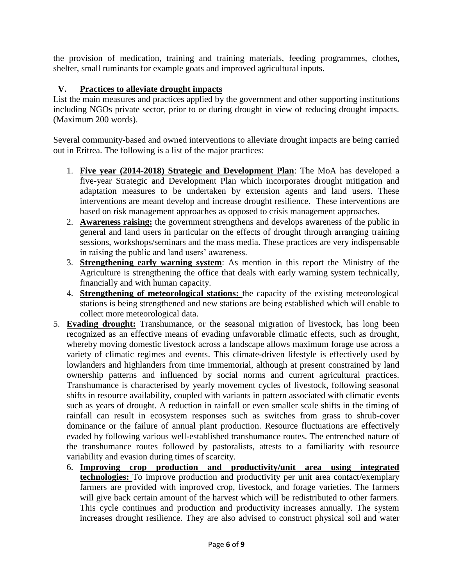the provision of medication, training and training materials, feeding programmes, clothes, shelter, small ruminants for example goats and improved agricultural inputs.

## **V. Practices to alleviate drought impacts**

List the main measures and practices applied by the government and other supporting institutions including NGOs private sector, prior to or during drought in view of reducing drought impacts. (Maximum 200 words).

Several community-based and owned interventions to alleviate drought impacts are being carried out in Eritrea. The following is a list of the major practices:

- 1. **Five year (2014-2018) Strategic and Development Plan**: The MoA has developed a five-year Strategic and Development Plan which incorporates drought mitigation and adaptation measures to be undertaken by extension agents and land users. These interventions are meant develop and increase drought resilience. These interventions are based on risk management approaches as opposed to crisis management approaches.
- 2. **Awareness raising:** the government strengthens and develops awareness of the public in general and land users in particular on the effects of drought through arranging training sessions, workshops/seminars and the mass media. These practices are very indispensable in raising the public and land users' awareness.
- 3. **Strengthening early warning system**: As mention in this report the Ministry of the Agriculture is strengthening the office that deals with early warning system technically, financially and with human capacity.
- 4. **Strengthening of meteorological stations:** the capacity of the existing meteorological stations is being strengthened and new stations are being established which will enable to collect more meteorological data.
- 5. **Evading drought:** Transhumance, or the seasonal migration of livestock, has long been recognized as an effective means of evading unfavorable climatic effects, such as drought, whereby moving domestic livestock across a landscape allows maximum forage use across a variety of climatic regimes and events. This climate-driven lifestyle is effectively used by lowlanders and highlanders from time immemorial, although at present constrained by land ownership patterns and influenced by social norms and current agricultural practices. Transhumance is characterised by yearly movement cycles of livestock, following seasonal shifts in resource availability, coupled with variants in pattern associated with climatic events such as years of drought. A reduction in rainfall or even smaller scale shifts in the timing of rainfall can result in ecosystem responses such as switches from grass to shrub-cover dominance or the failure of annual plant production. Resource fluctuations are effectively evaded by following various well-established transhumance routes. The entrenched nature of the transhumance routes followed by pastoralists, attests to a familiarity with resource variability and evasion during times of scarcity.
	- 6. **Improving crop production and productivity/unit area using integrated technologies:** To improve production and productivity per unit area contact/exemplary farmers are provided with improved crop, livestock, and forage varieties. The farmers will give back certain amount of the harvest which will be redistributed to other farmers. This cycle continues and production and productivity increases annually. The system increases drought resilience. They are also advised to construct physical soil and water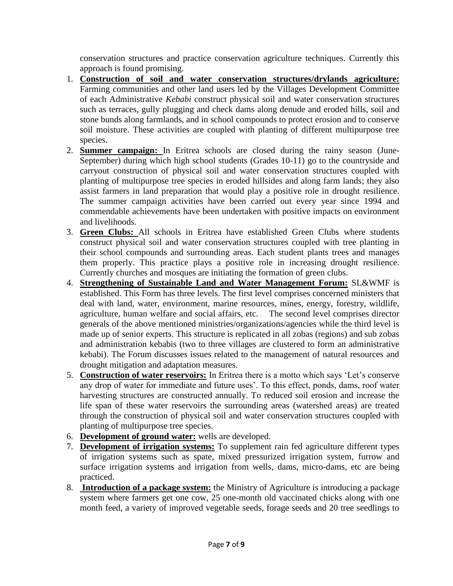conservation structures and practice conservation agriculture techniques. Currently this approach is found promising.

- 1. **Construction of soil and water conservation structures/drylands agriculture:** Farming communities and other land users led by the Villages Development Committee of each Administrative *Kebabi* construct physical soil and water conservation structures such as terraces, gully plugging and check dams along denude and eroded hills, soil and stone bunds along farmlands, and in school compounds to protect erosion and to conserve soil moisture. These activities are coupled with planting of different multipurpose tree species.
- 2. **Summer campaign:** In Eritrea schools are closed during the rainy season (June-September) during which high school students (Grades 10-11) go to the countryside and carryout construction of physical soil and water conservation structures coupled with planting of multipurpose tree species in eroded hillsides and along farm lands; they also assist farmers in land preparation that would play a positive role in drought resilience. The summer campaign activities have been carried out every year since 1994 and commendable achievements have been undertaken with positive impacts on environment and livelihoods.
- 3. **Green Clubs:** All schools in Eritrea have established Green Clubs where students construct physical soil and water conservation structures coupled with tree planting in their school compounds and surrounding areas. Each student plants trees and manages them properly. This practice plays a positive role in increasing drought resilience. Currently churches and mosques are initiating the formation of green clubs.
- 4. **Strengthening of Sustainable Land and Water Management Forum:** SL&WMF is established. This Form has three levels. The first level comprises concerned ministers that deal with land, water, environment, marine resources, mines, energy, forestry, wildlife, agriculture, human welfare and social affairs, etc. The second level comprises director generals of the above mentioned ministries/organizations/agencies while the third level is made up of senior experts. This structure is replicated in all zobas (regions) and sub zobas and administration kebabis (two to three villages are clustered to form an administrative kebabi). The Forum discusses issues related to the management of natural resources and drought mitigation and adaptation measures.
- 5. **Construction of water reservoirs:** In Eritrea there is a motto which says 'Let's conserve any drop of water for immediate and future uses'. To this effect, ponds, dams, roof water harvesting structures are constructed annually. To reduced soil erosion and increase the life span of these water reservoirs the surrounding areas (watershed areas) are treated through the construction of physical soil and water conservation structures coupled with planting of multipurpose tree species.
- 6. **Development of ground water:** wells are developed.
- 7. **Development of irrigation systems:** To supplement rain fed agriculture different types of irrigation systems such as spate, mixed pressurized irrigation system, furrow and surface irrigation systems and irrigation from wells, dams, micro-dams, etc are being practiced.
- 8. **Introduction of a package system:** the Ministry of Agriculture is introducing a package system where farmers get one cow, 25 one-month old vaccinated chicks along with one month feed, a variety of improved vegetable seeds, forage seeds and 20 tree seedlings to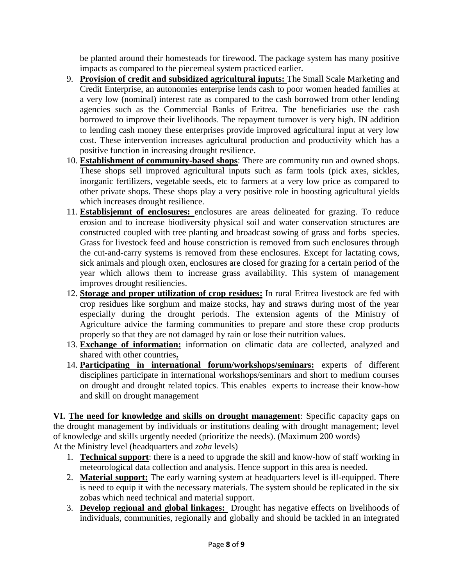be planted around their homesteads for firewood. The package system has many positive impacts as compared to the piecemeal system practiced earlier.

- 9. **Provision of credit and subsidized agricultural inputs:** The Small Scale Marketing and Credit Enterprise, an autonomies enterprise lends cash to poor women headed families at a very low (nominal) interest rate as compared to the cash borrowed from other lending agencies such as the Commercial Banks of Eritrea. The beneficiaries use the cash borrowed to improve their livelihoods. The repayment turnover is very high. IN addition to lending cash money these enterprises provide improved agricultural input at very low cost. These intervention increases agricultural production and productivity which has a positive function in increasing drought resilience.
- 10. **Establishment of community-based shops**: There are community run and owned shops. These shops sell improved agricultural inputs such as farm tools (pick axes, sickles, inorganic fertilizers, vegetable seeds, etc to farmers at a very low price as compared to other private shops. These shops play a very positive role in boosting agricultural yields which increases drought resilience.
- 11. **Establisjemnt of enclosures:** enclosures are areas delineated for grazing. To reduce erosion and to increase biodiversity physical soil and water conservation structures are constructed coupled with tree planting and broadcast sowing of grass and forbs species. Grass for livestock feed and house constriction is removed from such enclosures through the cut-and-carry systems is removed from these enclosures. Except for lactating cows, sick animals and plough oxen, enclosures are closed for grazing for a certain period of the year which allows them to increase grass availability. This system of management improves drought resiliencies.
- 12. **Storage and proper utilization of crop residues:** In rural Eritrea livestock are fed with crop residues like sorghum and maize stocks, hay and straws during most of the year especially during the drought periods. The extension agents of the Ministry of Agriculture advice the farming communities to prepare and store these crop products properly so that they are not damaged by rain or lose their nutrition values.
- 13. **Exchange of information:** information on climatic data are collected, analyzed and shared with other countries**.**
- 14. **Participating in international forum/workshops/seminars:** experts of different disciplines participate in international workshops/seminars and short to medium courses on drought and drought related topics. This enables experts to increase their know-how and skill on drought management

**VI. The need for knowledge and skills on drought management**: Specific capacity gaps on the drought management by individuals or institutions dealing with drought management; level of knowledge and skills urgently needed (prioritize the needs). (Maximum 200 words) At the Ministry level (headquarters and *zoba* levels)

- 1. **Technical support**: there is a need to upgrade the skill and know-how of staff working in meteorological data collection and analysis. Hence support in this area is needed.
- 2. **Material support:** The early warning system at headquarters level is ill-equipped. There is need to equip it with the necessary materials. The system should be replicated in the six zobas which need technical and material support.
- 3. **Develop regional and global linkages:** Drought has negative effects on livelihoods of individuals, communities, regionally and globally and should be tackled in an integrated